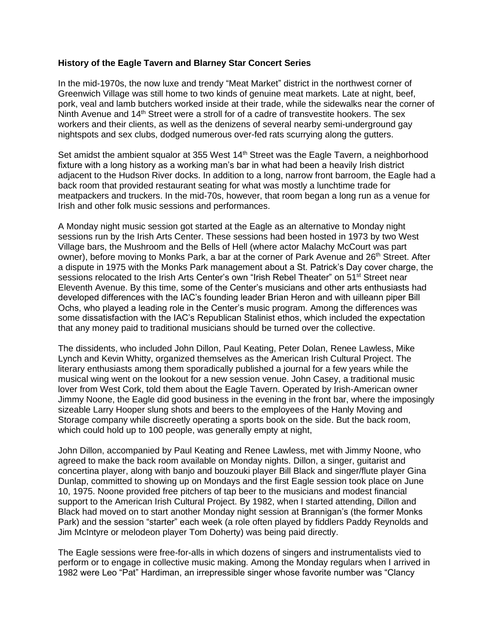## **History of the Eagle Tavern and Blarney Star Concert Series**

In the mid-1970s, the now luxe and trendy "Meat Market" district in the northwest corner of Greenwich Village was still home to two kinds of genuine meat markets. Late at night, beef, pork, veal and lamb butchers worked inside at their trade, while the sidewalks near the corner of Ninth Avenue and 14<sup>th</sup> Street were a stroll for of a cadre of transvestite hookers. The sex workers and their clients, as well as the denizens of several nearby semi-underground gay nightspots and sex clubs, dodged numerous over-fed rats scurrying along the gutters.

Set amidst the ambient squalor at 355 West 14<sup>th</sup> Street was the Eagle Tavern, a neighborhood fixture with a long history as a working man's bar in what had been a heavily Irish district adjacent to the Hudson River docks. In addition to a long, narrow front barroom, the Eagle had a back room that provided restaurant seating for what was mostly a lunchtime trade for meatpackers and truckers. In the mid-70s, however, that room began a long run as a venue for Irish and other folk music sessions and performances.

A Monday night music session got started at the Eagle as an alternative to Monday night sessions run by the Irish Arts Center. These sessions had been hosted in 1973 by two West Village bars, the Mushroom and the Bells of Hell (where actor Malachy McCourt was part owner), before moving to Monks Park, a bar at the corner of Park Avenue and 26<sup>th</sup> Street. After a dispute in 1975 with the Monks Park management about a St. Patrick's Day cover charge, the sessions relocated to the Irish Arts Center's own "Irish Rebel Theater" on 51<sup>st</sup> Street near Eleventh Avenue. By this time, some of the Center's musicians and other arts enthusiasts had developed differences with the IAC's founding leader Brian Heron and with uilleann piper Bill Ochs, who played a leading role in the Center's music program. Among the differences was some dissatisfaction with the IAC's Republican Stalinist ethos, which included the expectation that any money paid to traditional musicians should be turned over the collective.

The dissidents, who included John Dillon, Paul Keating, Peter Dolan, Renee Lawless, Mike Lynch and Kevin Whitty, organized themselves as the American Irish Cultural Project. The literary enthusiasts among them sporadically published a journal for a few years while the musical wing went on the lookout for a new session venue. John Casey, a traditional music lover from West Cork, told them about the Eagle Tavern. Operated by Irish-American owner Jimmy Noone, the Eagle did good business in the evening in the front bar, where the imposingly sizeable Larry Hooper slung shots and beers to the employees of the Hanly Moving and Storage company while discreetly operating a sports book on the side. But the back room, which could hold up to 100 people, was generally empty at night,

John Dillon, accompanied by Paul Keating and Renee Lawless, met with Jimmy Noone, who agreed to make the back room available on Monday nights. Dillon, a singer, guitarist and concertina player, along with banjo and bouzouki player Bill Black and singer/flute player Gina Dunlap, committed to showing up on Mondays and the first Eagle session took place on June 10, 1975. Noone provided free pitchers of tap beer to the musicians and modest financial support to the American Irish Cultural Project. By 1982, when I started attending, Dillon and Black had moved on to start another Monday night session at Brannigan's (the former Monks Park) and the session "starter" each week (a role often played by fiddlers Paddy Reynolds and Jim McIntyre or melodeon player Tom Doherty) was being paid directly.

The Eagle sessions were free-for-alls in which dozens of singers and instrumentalists vied to perform or to engage in collective music making. Among the Monday regulars when I arrived in 1982 were Leo "Pat" Hardiman, an irrepressible singer whose favorite number was "Clancy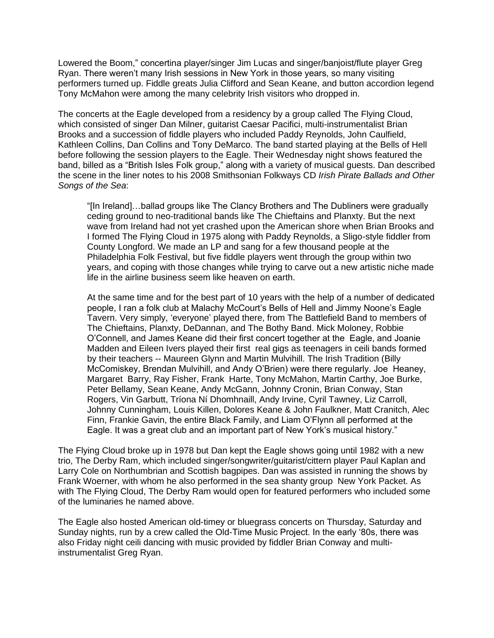Lowered the Boom," concertina player/singer Jim Lucas and singer/banjoist/flute player Greg Ryan. There weren't many Irish sessions in New York in those years, so many visiting performers turned up. Fiddle greats Julia Clifford and Sean Keane, and button accordion legend Tony McMahon were among the many celebrity Irish visitors who dropped in.

The concerts at the Eagle developed from a residency by a group called The Flying Cloud, which consisted of singer Dan Milner, guitarist Caesar Pacifici, multi-instrumentalist Brian Brooks and a succession of fiddle players who included Paddy Reynolds, John Caulfield, Kathleen Collins, Dan Collins and Tony DeMarco. The band started playing at the Bells of Hell before following the session players to the Eagle. Their Wednesday night shows featured the band, billed as a "British Isles Folk group," along with a variety of musical guests. Dan described the scene in the liner notes to his 2008 Smithsonian Folkways CD *Irish Pirate Ballads and Other Songs of the Sea*:

"[In Ireland]…ballad groups like The Clancy Brothers and The Dubliners were gradually ceding ground to neo-traditional bands like The Chieftains and Planxty. But the next wave from Ireland had not yet crashed upon the American shore when Brian Brooks and I formed The Flying Cloud in 1975 along with Paddy Reynolds, a Sligo-style fiddler from County Longford. We made an LP and sang for a few thousand people at the Philadelphia Folk Festival, but five fiddle players went through the group within two years, and coping with those changes while trying to carve out a new artistic niche made life in the airline business seem like heaven on earth.

At the same time and for the best part of 10 years with the help of a number of dedicated people, I ran a folk club at Malachy McCourt's Bells of Hell and Jimmy Noone's Eagle Tavern. Very simply, 'everyone' played there, from The Battlefield Band to members of The Chieftains, Planxty, DeDannan, and The Bothy Band. Mick Moloney, Robbie O'Connell, and James Keane did their first concert together at the Eagle, and Joanie Madden and Eileen Ivers played their first real gigs as teenagers in ceili bands formed by their teachers -- Maureen Glynn and Martin Mulvihill. The Irish Tradition (Billy McComiskey, Brendan Mulvihill, and Andy O'Brien) were there regularly. Joe Heaney, Margaret Barry, Ray Fisher, Frank Harte, Tony McMahon, Martin Carthy, Joe Burke, Peter Bellamy, Sean Keane, Andy McGann, Johnny Cronin, Brian Conway, Stan Rogers, Vin Garbutt, Tríona Ní Dhomhnaill, Andy Irvine, Cyril Tawney, Liz Carroll, Johnny Cunningham, Louis Killen, Dolores Keane & John Faulkner, Matt Cranitch, Alec Finn, Frankie Gavin, the entire Black Family, and Liam O'Flynn all performed at the Eagle. It was a great club and an important part of New York's musical history."

The Flying Cloud broke up in 1978 but Dan kept the Eagle shows going until 1982 with a new trio, The Derby Ram, which included singer/songwriter/guitarist/cittern player Paul Kaplan and Larry Cole on Northumbrian and Scottish bagpipes. Dan was assisted in running the shows by Frank Woerner, with whom he also performed in the sea shanty group New York Packet. As with The Flying Cloud, The Derby Ram would open for featured performers who included some of the luminaries he named above.

The Eagle also hosted American old-timey or bluegrass concerts on Thursday, Saturday and Sunday nights, run by a crew called the Old-Time Music Project. In the early '80s, there was also Friday night ceili dancing with music provided by fiddler Brian Conway and multiinstrumentalist Greg Ryan.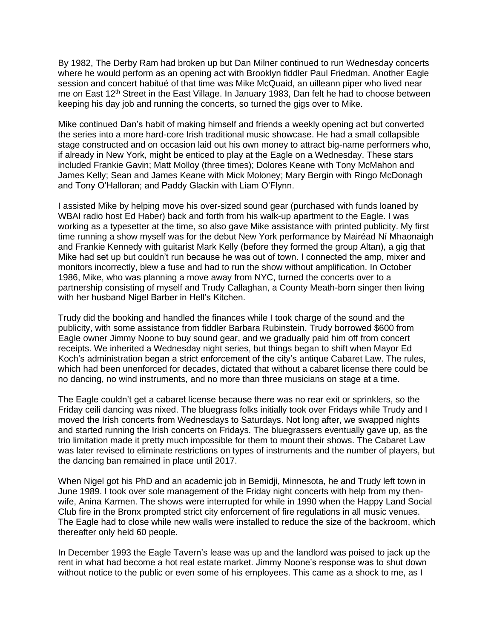By 1982, The Derby Ram had broken up but Dan Milner continued to run Wednesday concerts where he would perform as an opening act with Brooklyn fiddler Paul Friedman. Another Eagle session and concert habitué of that time was Mike McQuaid, an uilleann piper who lived near me on East 12<sup>th</sup> Street in the East Village. In January 1983, Dan felt he had to choose between keeping his day job and running the concerts, so turned the gigs over to Mike.

Mike continued Dan's habit of making himself and friends a weekly opening act but converted the series into a more hard-core Irish traditional music showcase. He had a small collapsible stage constructed and on occasion laid out his own money to attract big-name performers who, if already in New York, might be enticed to play at the Eagle on a Wednesday. These stars included Frankie Gavin; Matt Molloy (three times); Dolores Keane with Tony McMahon and James Kelly; Sean and James Keane with Mick Moloney; Mary Bergin with Ringo McDonagh and Tony O'Halloran; and Paddy Glackin with Liam O'Flynn.

I assisted Mike by helping move his over-sized sound gear (purchased with funds loaned by WBAI radio host Ed Haber) back and forth from his walk-up apartment to the Eagle. I was working as a typesetter at the time, so also gave Mike assistance with printed publicity. My first time running a show myself was for the debut New York performance by Mairéad Ní Mhaonaigh and Frankie Kennedy with guitarist Mark Kelly (before they formed the group Altan), a gig that Mike had set up but couldn't run because he was out of town. I connected the amp, mixer and monitors incorrectly, blew a fuse and had to run the show without amplification. In October 1986, Mike, who was planning a move away from NYC, turned the concerts over to a partnership consisting of myself and Trudy Callaghan, a County Meath-born singer then living with her husband Nigel Barber in Hell's Kitchen.

Trudy did the booking and handled the finances while I took charge of the sound and the publicity, with some assistance from fiddler Barbara Rubinstein. Trudy borrowed \$600 from Eagle owner Jimmy Noone to buy sound gear, and we gradually paid him off from concert receipts. We inherited a Wednesday night series, but things began to shift when Mayor Ed Koch's administration began a strict enforcement of the city's antique Cabaret Law. The rules, which had been unenforced for decades, dictated that without a cabaret license there could be no dancing, no wind instruments, and no more than three musicians on stage at a time.

The Eagle couldn't get a cabaret license because there was no rear exit or sprinklers, so the Friday ceili dancing was nixed. The bluegrass folks initially took over Fridays while Trudy and I moved the Irish concerts from Wednesdays to Saturdays. Not long after, we swapped nights and started running the Irish concerts on Fridays. The bluegrassers eventually gave up, as the trio limitation made it pretty much impossible for them to mount their shows. The Cabaret Law was later revised to eliminate restrictions on types of instruments and the number of players, but the dancing ban remained in place until 2017.

When Nigel got his PhD and an academic job in Bemidji, Minnesota, he and Trudy left town in June 1989. I took over sole management of the Friday night concerts with help from my thenwife, Anina Karmen. The shows were interrupted for while in 1990 when the Happy Land Social Club fire in the Bronx prompted strict city enforcement of fire regulations in all music venues. The Eagle had to close while new walls were installed to reduce the size of the backroom, which thereafter only held 60 people.

In December 1993 the Eagle Tavern's lease was up and the landlord was poised to jack up the rent in what had become a hot real estate market. Jimmy Noone's response was to shut down without notice to the public or even some of his employees. This came as a shock to me, as I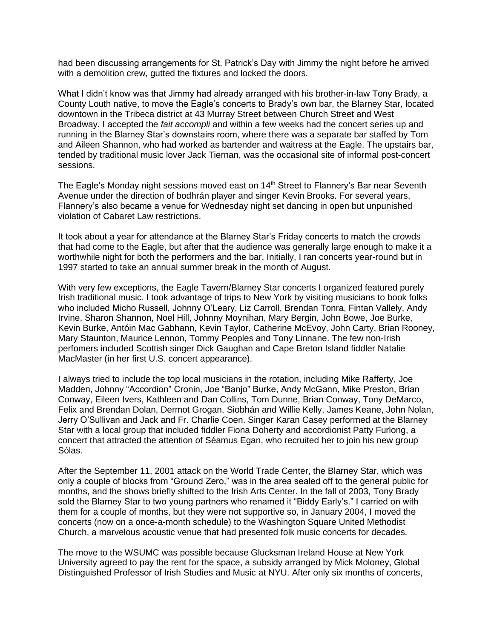had been discussing arrangements for St. Patrick's Day with Jimmy the night before he arrived with a demolition crew, gutted the fixtures and locked the doors.

What I didn't know was that Jimmy had already arranged with his brother-in-law Tonv Brady. a County Louth native, to move the Eagle's concerts to Brady's own bar, the Blarney Star, located downtown in the Tribeca district at 43 Murray Street between Church Street and West Broadway. I accepted the *fait accompli* and within a few weeks had the concert series up and running in the Blarney Star's downstairs room, where there was a separate bar staffed by Tom and Aileen Shannon, who had worked as bartender and waitress at the Eagle. The upstairs bar, tended by traditional music lover Jack Tiernan, was the occasional site of informal post-concert sessions.

The Eagle's Monday night sessions moved east on 14<sup>th</sup> Street to Flannery's Bar near Seventh Avenue under the direction of bodhrán player and singer Kevin Brooks. For several years, Flannery's also became a venue for Wednesday night set dancing in open but unpunished violation of Cabaret Law restrictions.

It took about a year for attendance at the Blarney Star's Friday concerts to match the crowds that had come to the Eagle, but after that the audience was generally large enough to make it a worthwhile night for both the performers and the bar. Initially, I ran concerts year-round but in 1997 started to take an annual summer break in the month of August.

With very few exceptions, the Eagle Tavern/Blarney Star concerts I organized featured purely Irish traditional music. I took advantage of trips to New York by visiting musicians to book folks who included Micho Russell, Johnny O'Leary, Liz Carroll, Brendan Tonra, Fintan Vallely, Andy Irvine, Sharon Shannon, Noel Hill, Johnny Moynihan, Mary Bergin, John Bowe, Joe Burke, Kevin Burke, Antóin Mac Gabhann, Kevin Taylor, Catherine McEvoy, John Carty, Brian Rooney, Mary Staunton, Maurice Lennon, Tommy Peoples and Tony Linnane. The few non-Irish perfomers included Scottish singer Dick Gaughan and Cape Breton Island fiddler Natalie MacMaster (in her first U.S. concert appearance).

I always tried to include the top local musicians in the rotation, including Mike Rafferty, Joe Madden, Johnny "Accordion" Cronin, Joe "Banjo" Burke, Andy McGann, Mike Preston, Brian Conway, Eileen Ivers, Kathleen and Dan Collins, Tom Dunne, Brian Conway, Tony DeMarco, Felix and Brendan Dolan, Dermot Grogan, Siobhán and Willie Kelly, James Keane, John Nolan, Jerry O'Sullivan and Jack and Fr. Charlie Coen. Singer Karan Casey performed at the Blarney Star with a local group that included fiddler Fiona Doherty and accordionist Patty Furlong, a concert that attracted the attention of Séamus Egan, who recruited her to join his new group Sólas.

After the September 11, 2001 attack on the World Trade Center, the Blarney Star, which was only a couple of blocks from "Ground Zero," was in the area sealed off to the general public for months, and the shows briefly shifted to the Irish Arts Center. In the fall of 2003, Tony Brady sold the Blarney Star to two young partners who renamed it "Biddy Early's." I carried on with them for a couple of months, but they were not supportive so, in January 2004, I moved the concerts (now on a once-a-month schedule) to the Washington Square United Methodist Church, a marvelous acoustic venue that had presented folk music concerts for decades.

The move to the WSUMC was possible because Glucksman Ireland House at New York University agreed to pay the rent for the space, a subsidy arranged by Mick Moloney, Global Distinguished Professor of Irish Studies and Music at NYU. After only six months of concerts,